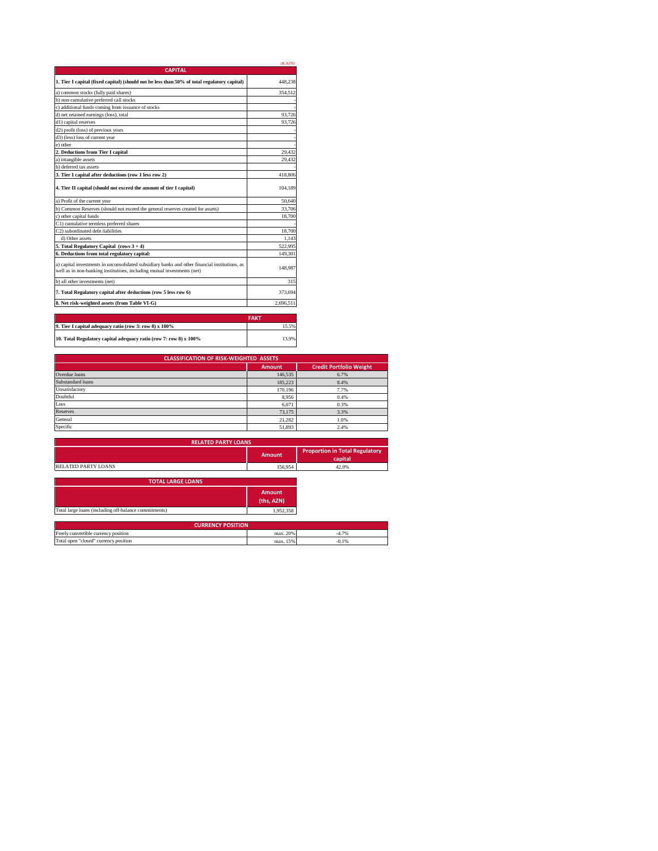|                                                                                                                                                                           | (KAZN)    |
|---------------------------------------------------------------------------------------------------------------------------------------------------------------------------|-----------|
| <b>CAPITAL</b>                                                                                                                                                            |           |
| 1. Tier I capital (fixed capital) (should not be less than 50% of total regulatory capital)                                                                               | 448.238   |
| a) common stocks (fully paid shares)                                                                                                                                      | 354.512   |
| b) non-cumulative preferred call stocks                                                                                                                                   |           |
| c) additional funds coming from issuance of stocks                                                                                                                        |           |
| d) net retained earnings (loss), total                                                                                                                                    | 93.726    |
| d1) capital reserves                                                                                                                                                      | 93,726    |
| d2) profit (loss) of previous years                                                                                                                                       |           |
| d3) (less) loss of current year                                                                                                                                           |           |
| e) other                                                                                                                                                                  |           |
| 2. Deductions from Tier I capital                                                                                                                                         | 29,432    |
| a) intangible assets                                                                                                                                                      | 29.432    |
| b) deferred tax assets                                                                                                                                                    |           |
| 3. Tier I capital after deductions (row 1 less row 2)                                                                                                                     | 418,806   |
| 4. Tier II capital (should not exceed the amount of tier I capital)                                                                                                       | 104.189   |
| a) Profit of the current year                                                                                                                                             | 50.640    |
| b) Common Reserves (should not exceed the general reserves created for assets)                                                                                            | 33,706    |
| c) other capital funds                                                                                                                                                    | 18,700    |
| C1) cumulative termless preferred shares                                                                                                                                  |           |
| C2) subordinated debt liabilities                                                                                                                                         | 18,700    |
| d) Other assets                                                                                                                                                           | 1.143     |
| 5. Total Regulatory Capital (rows 3 + 4)                                                                                                                                  | 522,995   |
| 6. Deductions from total regulatory capital:                                                                                                                              | 149.301   |
| a) capital investments in unconsolidated subsidiary banks and other financial institutions, as<br>well as in non-banking institutions, including mutual investments (net) | 148,987   |
| b) all other investments (net)                                                                                                                                            | 315       |
| 7. Total Regulatory capital after deductions (row 5 less row 6)                                                                                                           | 373,694   |
| 8. Net risk-weighted assets (from Table VI-G)                                                                                                                             | 2.696.511 |
|                                                                                                                                                                           |           |

|                                                                   | <b>FAKT</b> |
|-------------------------------------------------------------------|-------------|
| 9. Tier I capital adequacy ratio (row 3: row 8) x 100%            | 15.5%       |
| 10. Total Regulatory capital adequacy ratio (row 7: row 8) x 100% | 13.9%       |

| <b>CLASSIFICATION OF RISK-WEIGHTED ASSETS</b> |               |                                |  |
|-----------------------------------------------|---------------|--------------------------------|--|
|                                               | <b>Amount</b> | <b>Credit Portfolio Weight</b> |  |
| Overdue loans                                 | 146,535       | 6.7%                           |  |
| Substandard loans                             | 185.223       | 8.4%                           |  |
| Unsatisfactory                                | 170,196       | 7.7%                           |  |
| Doubtful                                      | 8,956         | 0.4%                           |  |
| Loss                                          | 6,071         | 0.3%                           |  |
| <b>Reserves</b>                               | 73.175        | 3.3%                           |  |
| General                                       | 21.282        | 1.0%                           |  |
| Specific                                      | 51,893        | 2.4%                           |  |

|                                                       | <b>RELATED PARTY LOANS</b>  |                                                  |
|-------------------------------------------------------|-----------------------------|--------------------------------------------------|
|                                                       | <b>Amount</b>               | <b>Proportion in Total Regulatory</b><br>capital |
| <b>RELATED PARTY LOANS</b>                            | 156,954                     | 42.0%                                            |
| <b>TOTAL LARGE LOANS</b>                              |                             |                                                  |
|                                                       | <b>Amount</b><br>(ths, AZN) |                                                  |
| Total large loans (including off-balance commitments) | 1,952,358                   |                                                  |
|                                                       | <b>CURRENCY POSITION</b>    |                                                  |
| Freely convertible currency position                  | max. 20%                    | $-4.7%$                                          |
| Total open "closed" currency position                 | max. 15%                    | $-0.1%$                                          |